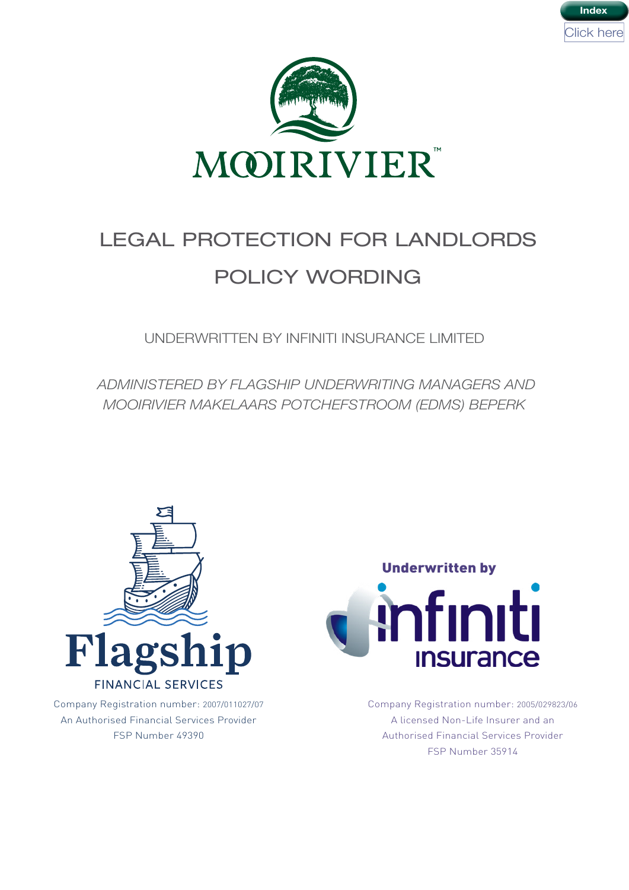



# LEGAL PROTECTION FOR LANDLORDS POLICY WORDING

UNDERWRITTEN BY INFINITI INSURANCE LIMITED

 *ADMINISTERED BY FLAGSHIP UNDERWRITING MANAGERS AND MOOIRIVIER MAKELAARS POTCHEFSTROOM (EDMS) BEPERK*



Company Registration number: 2007/011027/07 An Authorised Financial Services Provider FSP Number 49390



Company Registration number: 2005/029823/06 A licensed Non-Life Insurer and an Authorised Financial Services Provider FSP Number 35914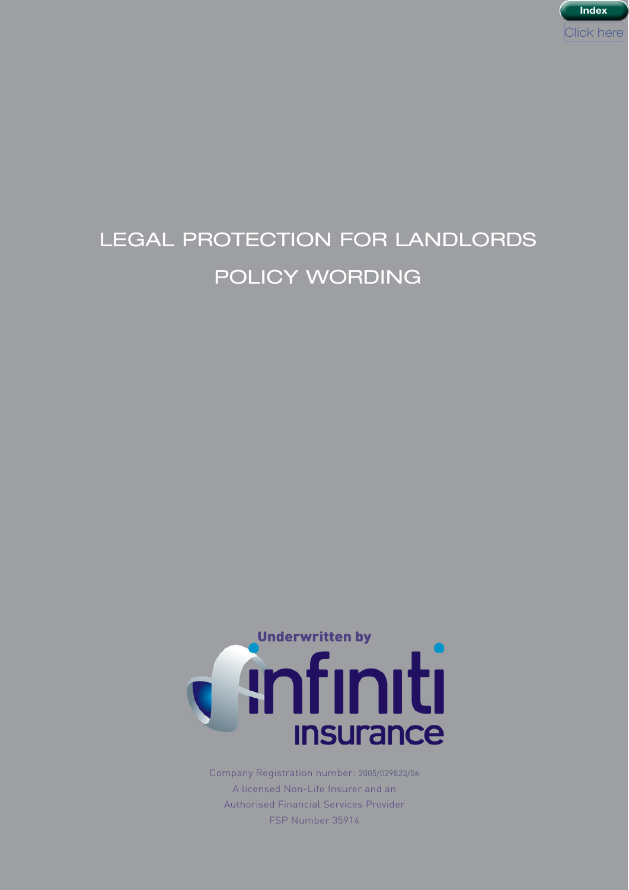

# LEGAL PROTECTION FOR LANDLORDS POLICY WORDING



Company Registration number: 2005/029823/06 A licensed Non-Life Insurer and an Authorised Financial Services Provider FSP Number 35914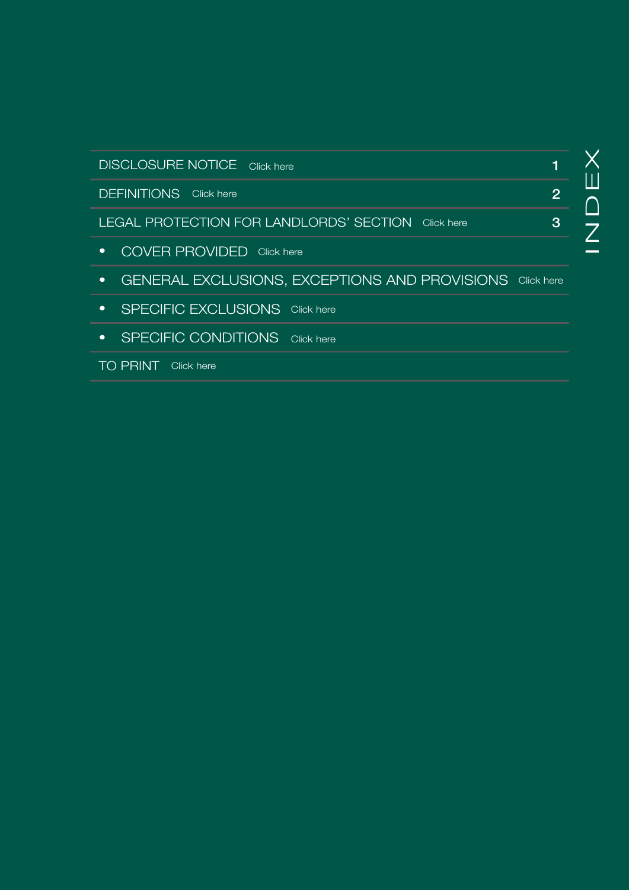<span id="page-2-0"></span>

| <b>DISCLOSURE NOTICE</b> Click here                             |                |
|-----------------------------------------------------------------|----------------|
| <b>DEFINITIONS</b> Click here                                   | $\overline{2}$ |
| LEGAL PROTECTION FOR LANDLORDS' SECTION<br>Click here           | 3              |
| <b>COVER PROVIDED</b> Click here                                |                |
| <b>GENERAL EXCLUSIONS, EXCEPTIONS AND PROVISIONS</b> Click here |                |
| SPECIFIC EXCLUSIONS Click here                                  |                |
|                                                                 |                |

• SPECIFIC CONDITIONS Click here<br>TO PRINT Click here

TO PRINT Click here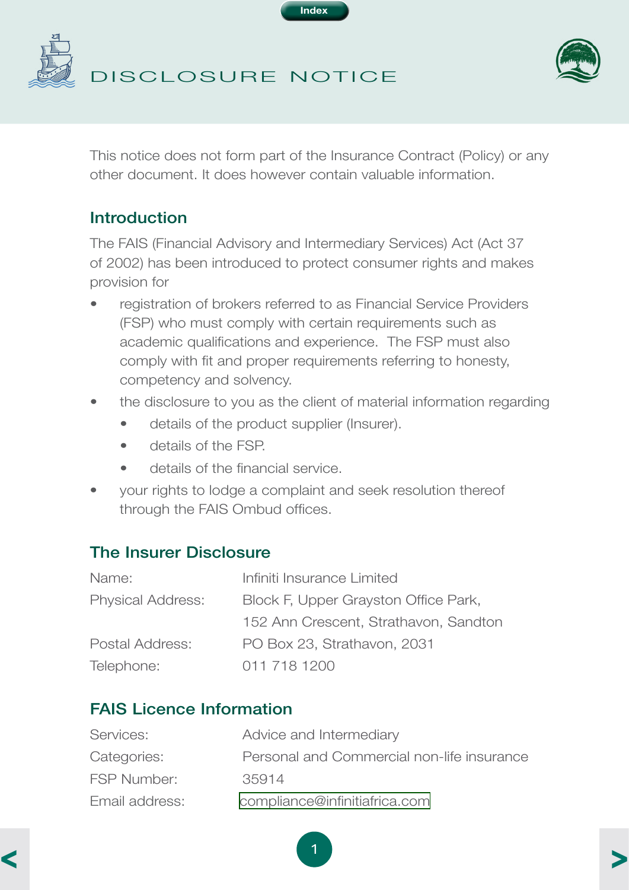

<span id="page-3-0"></span>



This notice does not form part of the Insurance Contract (Policy) or any other document. It does however contain valuable information.

# Introduction

The FAIS (Financial Advisory and Intermediary Services) Act (Act 37 of 2002) has been introduced to protect consumer rights and makes provision for

- registration of brokers referred to as Financial Service Providers (FSP) who must comply with certain requirements such as academic qualifications and experience. The FSP must also comply with fit and proper requirements referring to honesty, competency and solvency.
- the disclosure to you as the client of material information regarding
	- details of the product supplier (Insurer).
	- details of the FSP.
	- details of the financial service.
- your rights to lodge a complaint and seek resolution thereof through the FAIS Ombud offices.

# The Insurer Disclosure

| Name:                    | Infiniti Insurance Limited            |
|--------------------------|---------------------------------------|
| <b>Physical Address:</b> | Block F, Upper Grayston Office Park,  |
|                          | 152 Ann Crescent, Strathavon, Sandton |
| Postal Address:          | PO Box 23, Strathavon, 2031           |
| Telephone:               | 011 718 1200                          |

# FAIS Licence Information

| Services:          | Advice and Intermediary                    |
|--------------------|--------------------------------------------|
| Categories:        | Personal and Commercial non-life insurance |
| <b>FSP Number:</b> | 35914                                      |
| Email address:     | compliance@infinitiafrica.com              |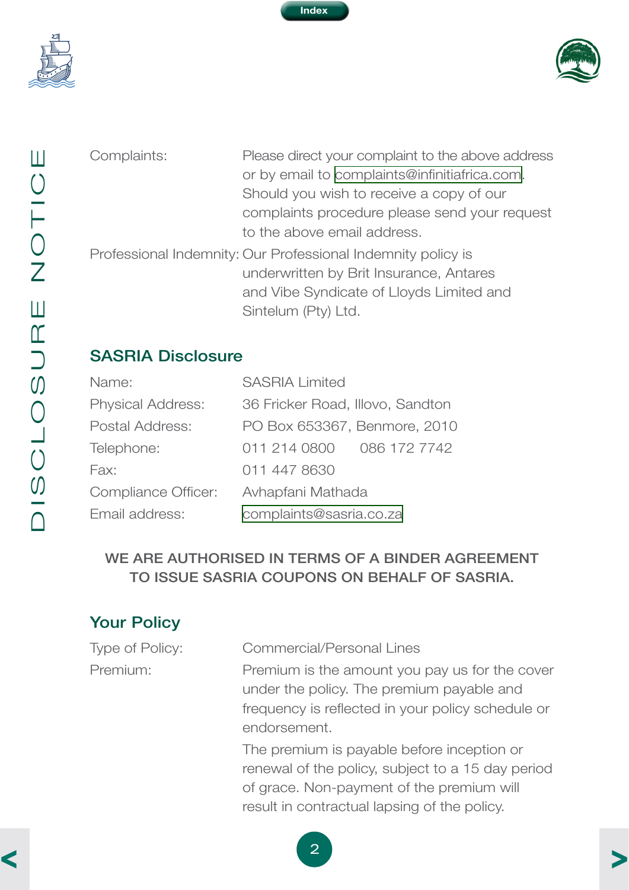<span id="page-4-0"></span>



JISCLOSURE NOTICE DISCLOSURE NOTICE

Complaints: Please direct your complaint to the above address or by email to [complaints@infinitiafrica.com.](mailto:complaints%40infinitiafrica.com?subject=Mooirivier%20Legal%20Protection%20for%20Landlords%20Policy%20Wording) Should you wish to receive a copy of our complaints procedure please send your request to the above email address.

Professional Indemnity: Our Professional Indemnity policy is underwritten by Brit Insurance, Antares and Vibe Syndicate of Lloyds Limited and Sintelum (Pty) Ltd.

# SASRIA Disclosure

| Name:                    | <b>SASRIA Limited</b>            |
|--------------------------|----------------------------------|
| <b>Physical Address:</b> | 36 Fricker Road, Illovo, Sandton |
| Postal Address:          | PO Box 653367, Benmore, 2010     |
| Telephone:               | 086 172 7742<br>011 214 0800     |
| Fax:                     | 011 447 8630                     |
| Compliance Officer:      | Avhapfani Mathada                |
| Email address:           | complaints@sasria.co.za          |

#### WE ARE AUTHORISED IN TERMS OF A BINDER AGREEMENT TO ISSUE SASRIA COUPONS ON BEHALF OF SASRIA.

# Your Policy

| Type of Policy: | <b>Commercial/Personal Lines</b>                                                                                                                 |
|-----------------|--------------------------------------------------------------------------------------------------------------------------------------------------|
| Premium:        | Premium is the amount you pay us for the cover<br>under the policy. The premium payable and<br>frequency is reflected in your policy schedule or |
|                 | endorsement.<br>The premium is payable before inception or                                                                                       |
|                 | renewal of the policy, subject to a 15 day period<br>of grace. Non-payment of the premium will<br>result in contractual lapsing of the policy.   |

2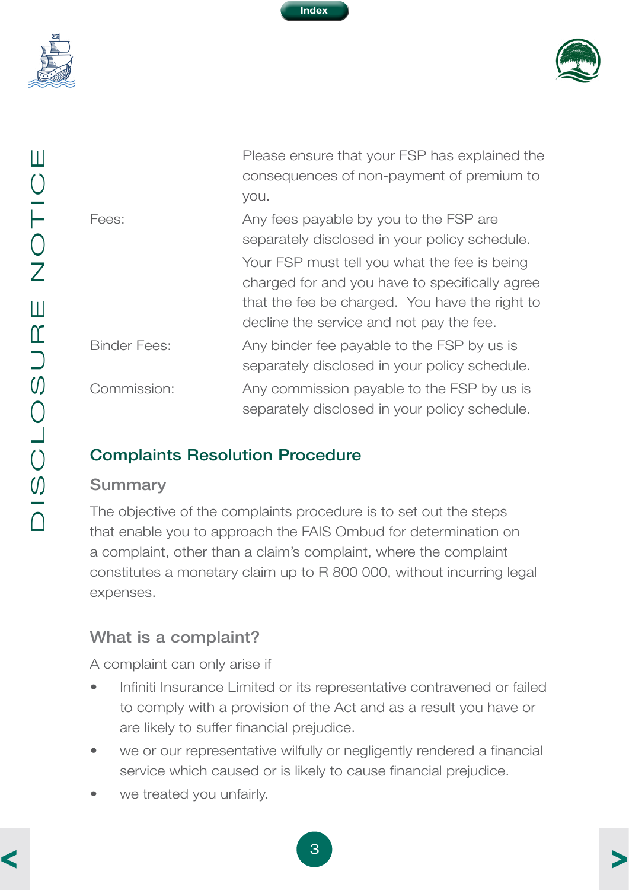

<span id="page-5-0"></span>



| Ш<br>$\bigcirc$<br>H<br>$\bigcirc$<br>$\overline{Z}$                   | Fees:                             |
|------------------------------------------------------------------------|-----------------------------------|
| Ш<br>$\mathfrak{C}% _{T}$<br>$\overline{\phantom{0}}$<br>$\mathcal{O}$ | <b>Binder Fees</b><br>Commissior  |
| $\bigcirc$<br>$\mathcal{O}$                                            | Complain<br><b>Summary</b>        |
|                                                                        | The objectiv<br>ملمام مرم له مملك |

 Please ensure that your FSP has explained the consequences of non-payment of premium to you.

| Fees:               | Any fees payable by you to the FSP are         |
|---------------------|------------------------------------------------|
|                     | separately disclosed in your policy schedule.  |
|                     | Your FSP must tell you what the fee is being   |
|                     | charged for and you have to specifically agree |
|                     | that the fee be charged. You have the right to |
|                     | decline the service and not pay the fee.       |
| <b>Binder Fees:</b> | Any binder fee payable to the FSP by us is     |
|                     | separately disclosed in your policy schedule.  |
| Commission:         | Any commission payable to the FSP by us is     |
|                     | separately disclosed in your policy schedule.  |

# **Its Resolution Procedure**

#### **Summary**

The objective of the complaints procedure is to set out the steps that enable you to approach the FAIS Ombud for determination on a complaint, other than a claim's complaint, where the complaint constitutes a monetary claim up to R 800 000, without incurring legal expenses.

# What is a complaint?

A complaint can only arise if

- Infiniti Insurance Limited or its representative contravened or failed to comply with a provision of the Act and as a result you have or are likely to suffer financial prejudice.
- we or our representative wilfully or negligently rendered a financial service which caused or is likely to cause financial prejudice.
- we treated you unfairly.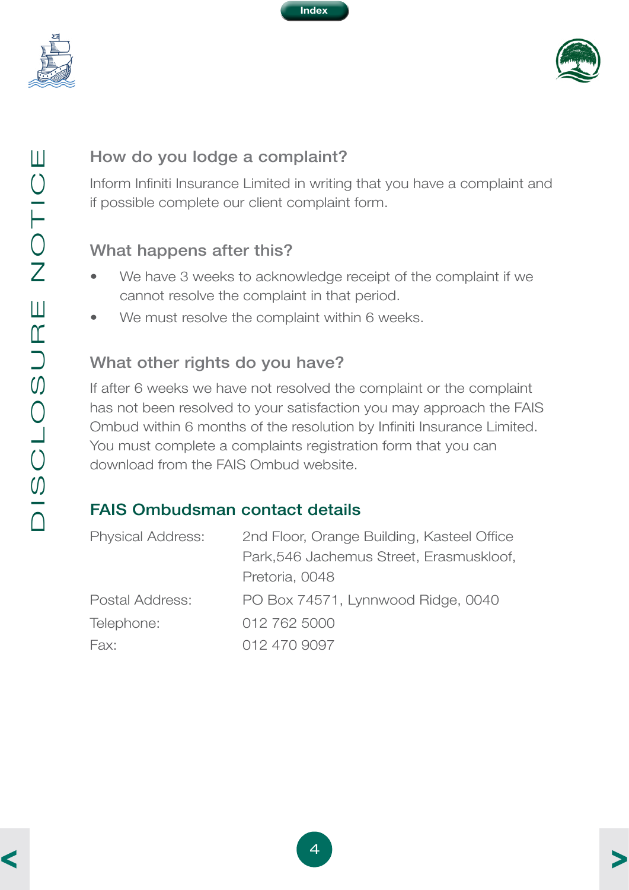

<span id="page-6-0"></span>



# How do you lodge a complaint?

Inform Infiniti Insurance Limited in writing that you have a complaint and if possible complete our client complaint form.

# What happens after this?

- We have 3 weeks to acknowledge receipt of the complaint if we cannot resolve the complaint in that period.
- We must resolve the complaint within 6 weeks.

#### What other rights do you have?

If after 6 weeks we have not resolved the complaint or the complaint has not been resolved to your satisfaction you may approach the FAIS Ombud within 6 months of the resolution by Infiniti Insurance Limited. You must complete a complaints registration form that you can download from the FAIS Ombud website.

# FAIS Ombudsman contact details

| <b>Physical Address:</b> | 2nd Floor, Orange Building, Kasteel Office |
|--------------------------|--------------------------------------------|
|                          | Park, 546 Jachemus Street, Erasmuskloof,   |
|                          | Pretoria, 0048                             |
| Postal Address:          | PO Box 74571, Lynnwood Ridge, 0040         |
| Telephone:               | 012 762 5000                               |
| Fax:                     | 012 470 9097                               |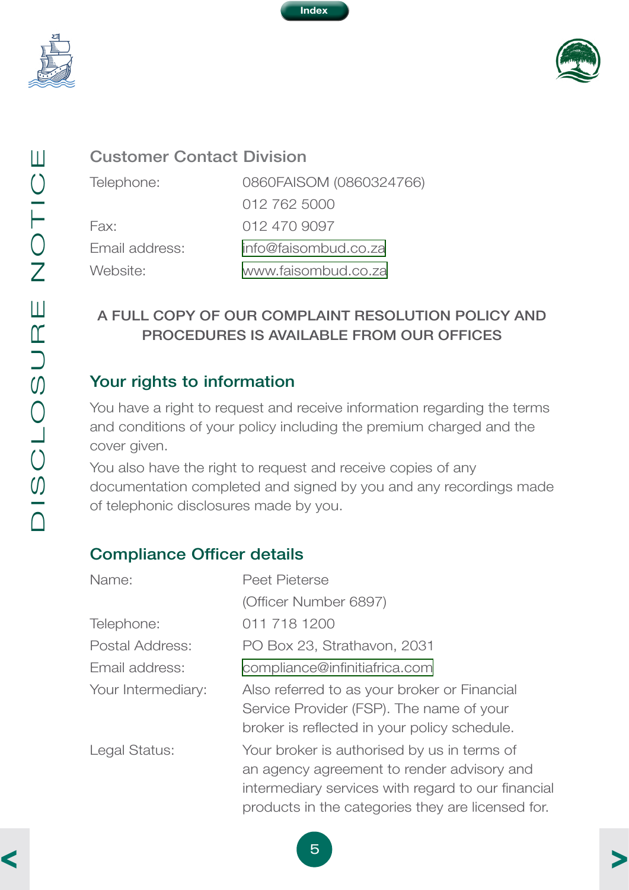

<span id="page-7-0"></span>



#### Customer Contact Division

Telephone: 0860FAISOM (0860324766) 012 762 5000 Fax: 012 470 9097 Email address: [info@faisombud.co.za](mailto:info%40faisombud.co.za?subject=Mooirivier%20Legal%20Protection%20for%20Landlords%20Policy%20Wording) Website: [www.faisombud.co.za](http://www.faisombud.co.za) 

#### A FULL COPY OF OUR COMPLAINT RESOLUTION POLICY AND PROCEDURES IS AVAILABLE FROM OUR OFFICES

#### Your rights to information

You have a right to request and receive information regarding the terms and conditions of your policy including the premium charged and the cover given.

You also have the right to request and receive copies of any documentation completed and signed by you and any recordings made of telephonic disclosures made by you.

#### Compliance Officer details

| Name:              | <b>Peet Pieterse</b>                                                                                                                                                                                 |
|--------------------|------------------------------------------------------------------------------------------------------------------------------------------------------------------------------------------------------|
|                    | (Officer Number 6897)                                                                                                                                                                                |
| Telephone:         | 011 718 1200                                                                                                                                                                                         |
| Postal Address:    | PO Box 23, Strathavon, 2031                                                                                                                                                                          |
| Email address:     | compliance@infinitiafrica.com                                                                                                                                                                        |
| Your Intermediary: | Also referred to as your broker or Financial<br>Service Provider (FSP). The name of your<br>broker is reflected in your policy schedule.                                                             |
| Legal Status:      | Your broker is authorised by us in terms of<br>an agency agreement to render advisory and<br>intermediary services with regard to our financial<br>products in the categories they are licensed for. |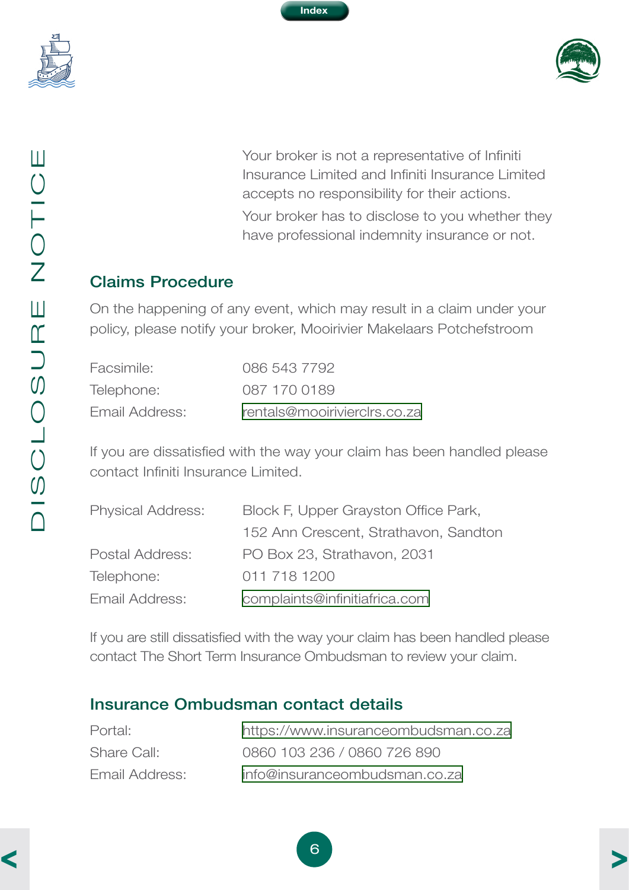<span id="page-8-0"></span>



 Your broker is not a representative of Infiniti Insurance Limited and Infiniti Insurance Limited accepts no responsibility for their actions. Your broker has to disclose to you whether they have professional indemnity insurance or not.

#### Claims Procedure

On the happening of any event, which may result in a claim under your policy, please notify your broker, Mooirivier Makelaars Potchefstroom

| Facsimile:     | 086 543 7792                 |
|----------------|------------------------------|
| Telephone:     | 087 170 0189                 |
| Email Address: | rentals@mooirivierclrs.co.za |

If you are dissatisfied with the way your claim has been handled please contact Infiniti Insurance Limited.

| <b>Physical Address:</b> | Block F, Upper Grayston Office Park,  |
|--------------------------|---------------------------------------|
|                          | 152 Ann Crescent, Strathavon, Sandton |
| Postal Address:          | PO Box 23, Strathavon, 2031           |
| Telephone:               | 011 718 1200                          |
| Email Address:           | complaints@infinitiafrica.com         |

If you are still dissatisfied with the way your claim has been handled please contact The Short Term Insurance Ombudsman to review your claim.

#### Insurance Ombudsman contact details

| Portal:        | https://www.insuranceombudsman.co.za |
|----------------|--------------------------------------|
| Share Call:    | 0860 103 236 / 0860 726 890          |
| Email Address: | info@insuranceombudsman.co.za        |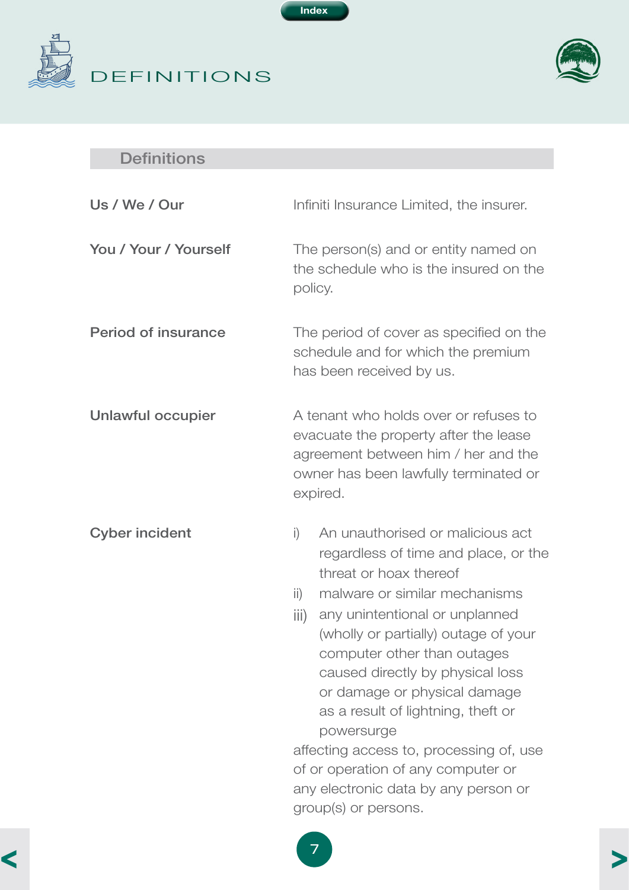<span id="page-9-0"></span>



# **Definitions**

| Us / We / Our              | Infiniti Insurance Limited, the insurer.                                                                                                                                                                                                                                                                                                                                                                                                                                                                                                                       |  |
|----------------------------|----------------------------------------------------------------------------------------------------------------------------------------------------------------------------------------------------------------------------------------------------------------------------------------------------------------------------------------------------------------------------------------------------------------------------------------------------------------------------------------------------------------------------------------------------------------|--|
| You / Your / Yourself      | The person(s) and or entity named on<br>the schedule who is the insured on the<br>policy.                                                                                                                                                                                                                                                                                                                                                                                                                                                                      |  |
| <b>Period of insurance</b> | The period of cover as specified on the<br>schedule and for which the premium<br>has been received by us.                                                                                                                                                                                                                                                                                                                                                                                                                                                      |  |
| <b>Unlawful occupier</b>   | A tenant who holds over or refuses to<br>evacuate the property after the lease<br>agreement between him / her and the<br>owner has been lawfully terminated or<br>expired.                                                                                                                                                                                                                                                                                                                                                                                     |  |
| <b>Cyber incident</b>      | An unauthorised or malicious act<br>$\mathsf{i}$<br>regardless of time and place, or the<br>threat or hoax thereof<br>malware or similar mechanisms<br>$\mathsf{ii}$<br>any unintentional or unplanned<br>iii)<br>(wholly or partially) outage of your<br>computer other than outages<br>caused directly by physical loss<br>or damage or physical damage<br>as a result of lightning, theft or<br>powersurge<br>affecting access to, processing of, use<br>of or operation of any computer or<br>any electronic data by any person or<br>group(s) or persons. |  |

**Index**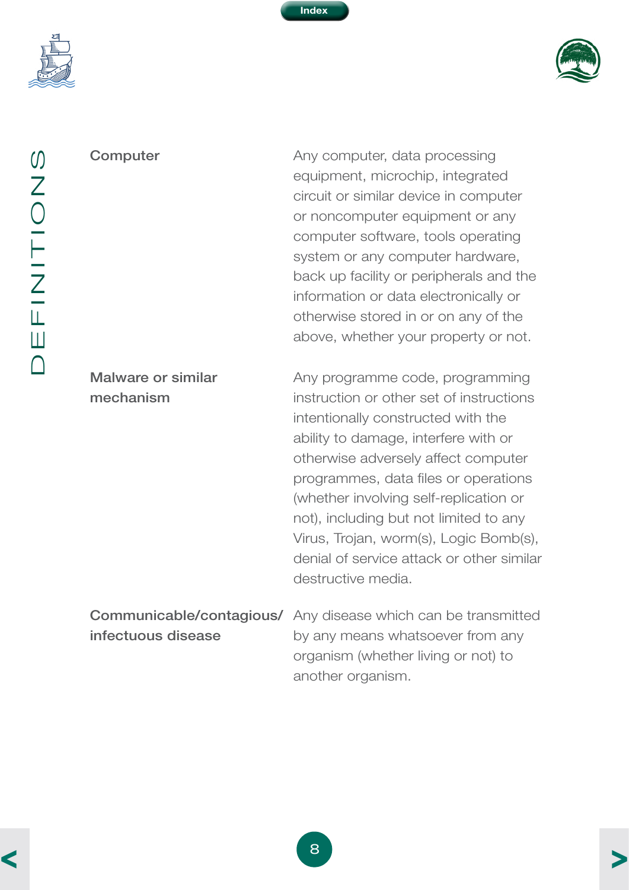<span id="page-10-0"></span>



**Computer Computer** Any computer, data processing equipment, microchip, integrated circuit or similar device in computer or noncomputer equipment or any computer software, tools operating system or any computer hardware, back up facility or peripherals and the information or data electronically or otherwise stored in or on any of the above, whether your property or not.

Malware or similar mechanism

Any programme code, programming instruction or other set of instructions intentionally constructed with the ability to damage, interfere with or otherwise adversely affect computer programmes, data files or operations (whether involving self-replication or not), including but not limited to any Virus, Trojan, worm(s), Logic Bomb(s), denial of service attack or other similar destructive media.

Communicable/contagious/ Any disease which can be transmitted infectuous disease by any means whatsoever from any organism (whether living or not) to another organism.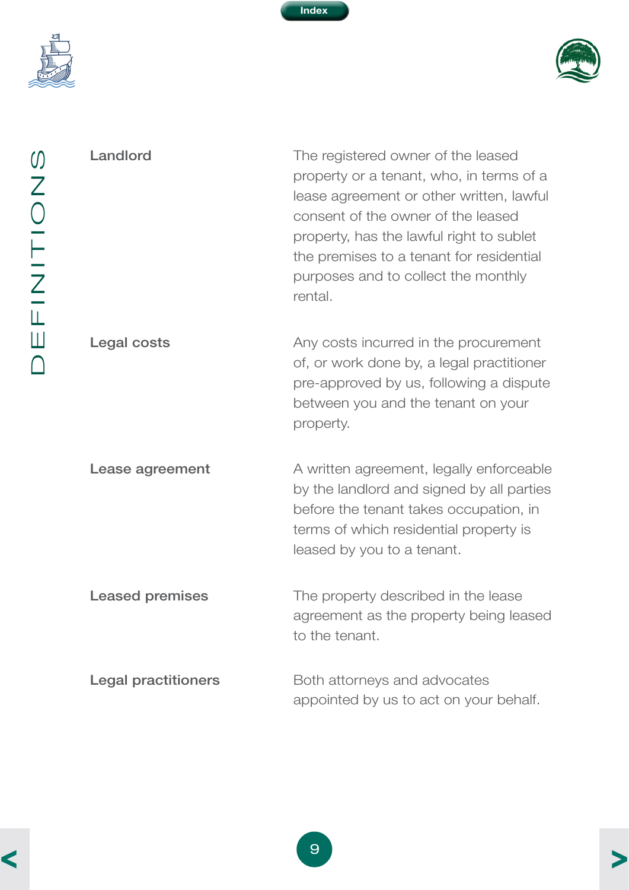<span id="page-11-0"></span>



Landlord **Landlord** The registered owner of the leased property or a tenant, who, in terms of a lease agreement or other written, lawful consent of the owner of the leased property, has the lawful right to sublet the premises to a tenant for residential purposes and to collect the monthly rental.

Legal costs **Legal costs** Any costs incurred in the procurement of, or work done by, a legal practitioner pre-approved by us, following a dispute between you and the tenant on your property.

**Lease agreement** A written agreement, legally enforceable by the landlord and signed by all parties before the tenant takes occupation, in terms of which residential property is leased by you to a tenant.

**Leased premises** The property described in the lease agreement as the property being leased to the tenant.

**Legal practitioners** Both attorneys and advocates appointed by us to act on your behalf.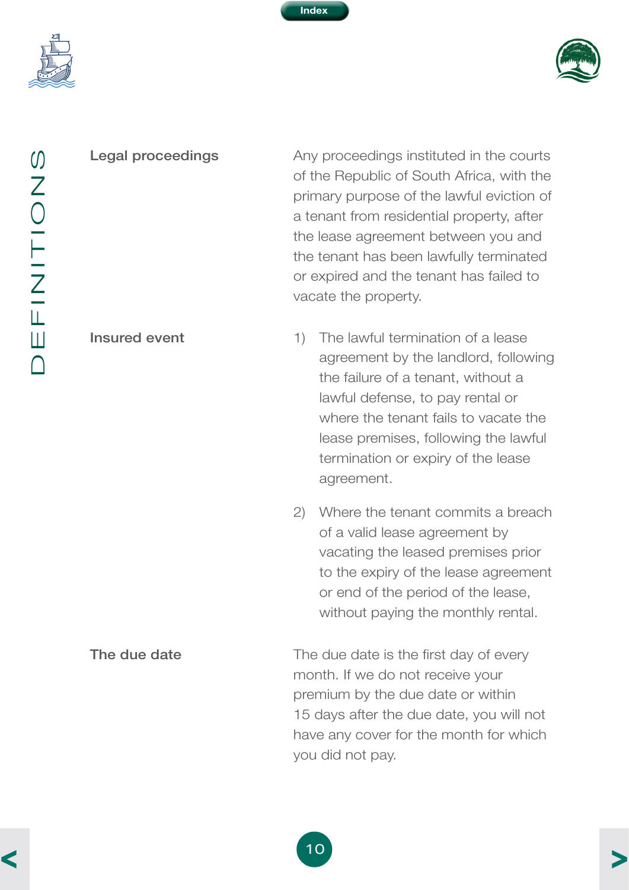<span id="page-12-0"></span>



Legal proceedings **Any proceedings instituted in the courts** of the Republic of South Africa, with the primary purpose of the lawful eviction of a tenant from residential property, after the lease agreement between you and the tenant has been lawfully terminated or expired and the tenant has failed to vacate the property.

Insured event 1) The lawful termination of a lease agreement by the landlord, following the failure of a tenant, without a lawful defense, to pay rental or where the tenant fails to vacate the lease premises, following the lawful termination or expiry of the lease agreement.

> 2) Where the tenant commits a breach of a valid lease agreement by vacating the leased premises prior to the expiry of the lease agreement or end of the period of the lease, without paying the monthly rental.

The due date The due date is the first day of every month. If we do not receive your premium by the due date or within 15 days after the due date, you will not have any cover for the month for which you did not pay.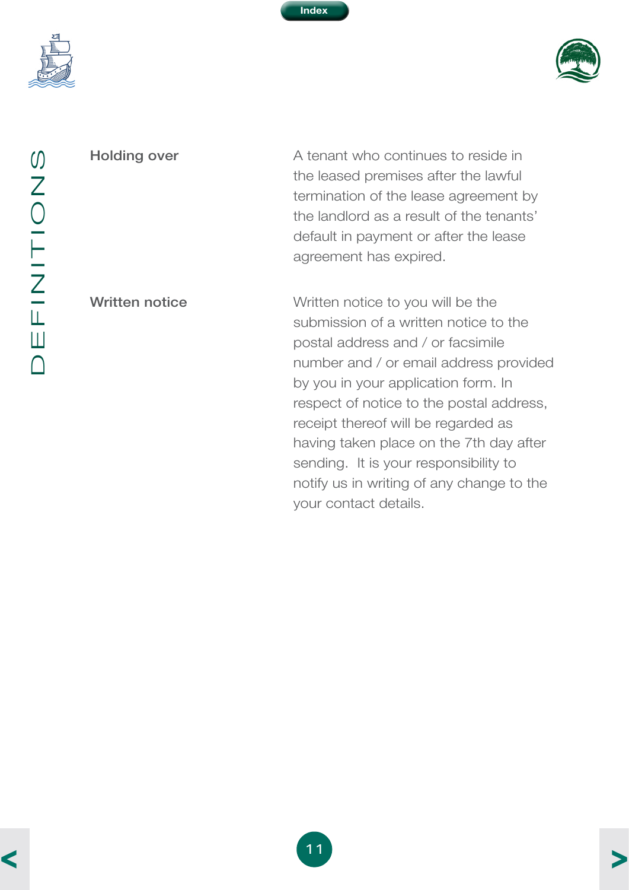<span id="page-13-0"></span>



Holding over **A** tenant who continues to reside in the leased premises after the lawful termination of the lease agreement by the landlord as a result of the tenants' default in payment or after the lease agreement has expired.

Written notice **Written notice Written notice to you will be the** submission of a written notice to the postal address and / or facsimile number and / or email address provided by you in your application form. In respect of notice to the postal address, receipt thereof will be regarded as having taken place on the 7th day after sending. It is your responsibility to notify us in writing of any change to the your contact details.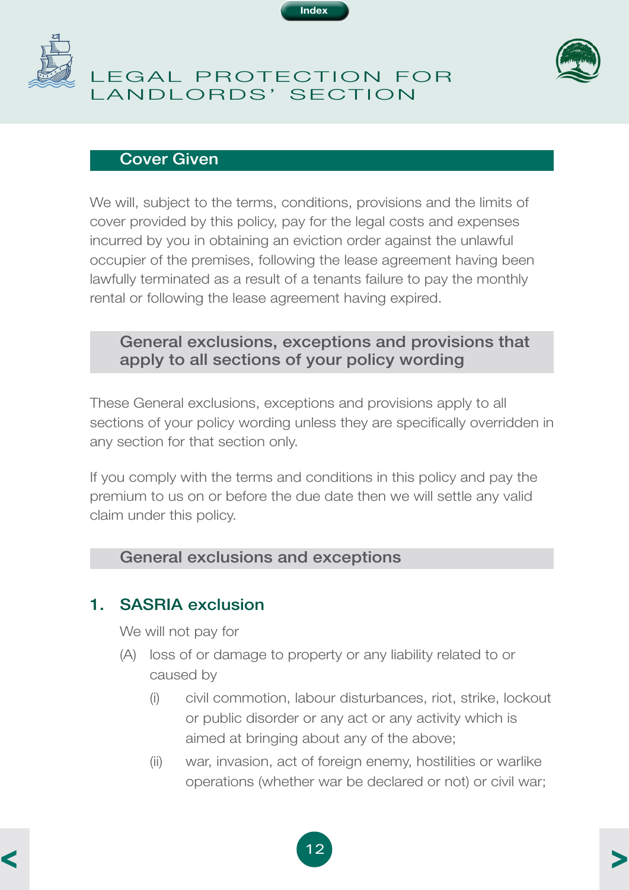

<span id="page-14-0"></span>

# LEGAL PROTECTION FOR LANDLORDS' SECTION



#### Cover Given

We will, subject to the terms, conditions, provisions and the limits of cover provided by this policy, pay for the legal costs and expenses incurred by you in obtaining an eviction order against the unlawful occupier of the premises, following the lease agreement having been lawfully terminated as a result of a tenants failure to pay the monthly rental or following the lease agreement having expired.

#### General exclusions, exceptions and provisions that apply to all sections of your policy wording

These General exclusions, exceptions and provisions apply to all sections of your policy wording unless they are specifically overridden in any section for that section only.

If you comply with the terms and conditions in this policy and pay the premium to us on or before the due date then we will settle any valid claim under this policy.

#### General exclusions and exceptions

#### 1. SASRIA exclusion

We will not pay for

- (A) loss of or damage to property or any liability related to or caused by
	- (i) civil commotion, labour disturbances, riot, strike, lockout or public disorder or any act or any activity which is aimed at bringing about any of the above;
	- (ii) war, invasion, act of foreign enemy, hostilities or warlike operations (whether war be declared or not) or civil war;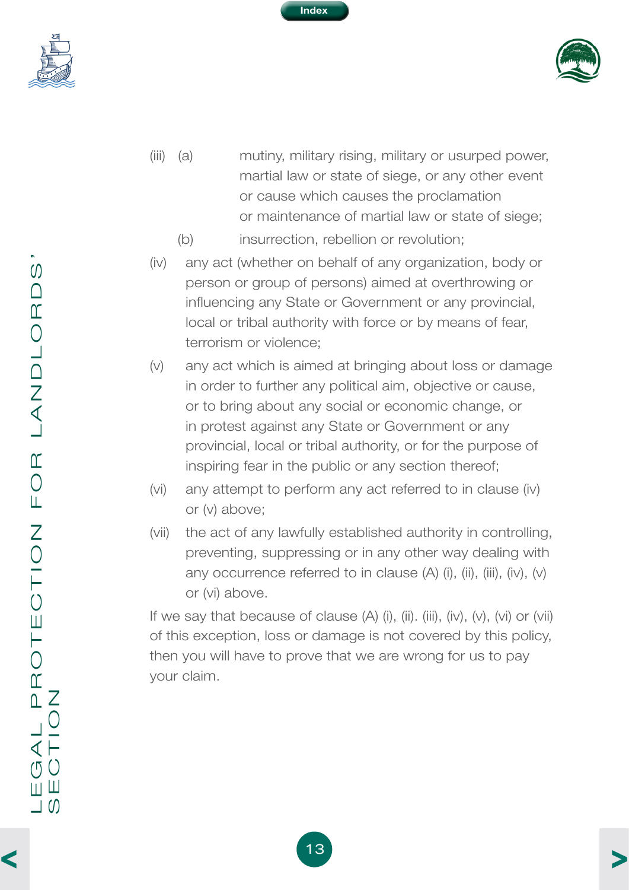<span id="page-15-0"></span>





- (iii) (a) mutiny, military rising, military or usurped power, martial law or state of siege, or any other event or cause which causes the proclamation or maintenance of martial law or state of siege;
	- (b) insurrection, rebellion or revolution;
- (iv) any act (whether on behalf of any organization, body or person or group of persons) aimed at overthrowing or influencing any State or Government or any provincial, local or tribal authority with force or by means of fear, terrorism or violence;
- (v) any act which is aimed at bringing about loss or damage in order to further any political aim, objective or cause, or to bring about any social or economic change, or in protest against any State or Government or any provincial, local or tribal authority, or for the purpose of inspiring fear in the public or any section thereof;
- (vi) any attempt to perform any act referred to in clause (iv) or (v) above;
- (vii) the act of any lawfully established authority in controlling, preventing, suppressing or in any other way dealing with any occurrence referred to in clause  $(A)$  (i), (ii), (iii), (iv),  $(v)$ or (vi) above.

If we say that because of clause  $(A)$  (i), (ii). (iii), (iv),  $(v)$ ,  $(vi)$  or  $(vii)$ of this exception, loss or damage is not covered by this policy, then you will have to prove that we are wrong for us to pay your claim.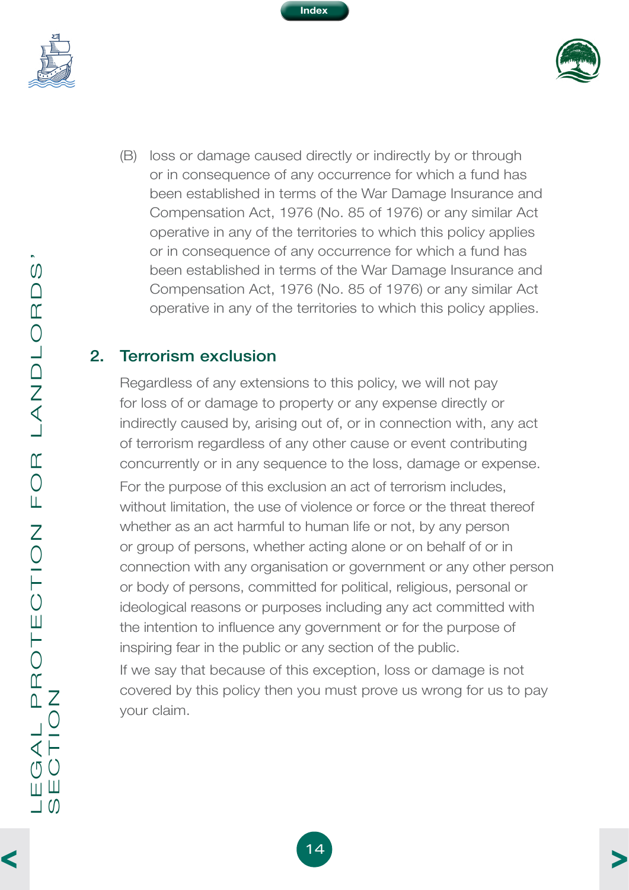<span id="page-16-0"></span>



(B) loss or damage caused directly or indirectly by or through or in consequence of any occurrence for which a fund has been established in terms of the War Damage Insurance and Compensation Act, 1976 (No. 85 of 1976) or any similar Act operative in any of the territories to which this policy applies or in consequence of any occurrence for which a fund has been established in terms of the War Damage Insurance and Compensation Act, 1976 (No. 85 of 1976) or any similar Act operative in any of the territories to which this policy applies.

**Index**

#### 2. Terrorism exclusion

Regardless of any extensions to this policy, we will not pay for loss of or damage to property or any expense directly or indirectly caused by, arising out of, or in connection with, any act of terrorism regardless of any other cause or event contributing concurrently or in any sequence to the loss, damage or expense. For the purpose of this exclusion an act of terrorism includes, without limitation, the use of violence or force or the threat thereof whether as an act harmful to human life or not, by any person or group of persons, whether acting alone or on behalf of or in connection with any organisation or government or any other person or body of persons, committed for political, religious, personal or ideological reasons or purposes including any act committed with the intention to influence any government or for the purpose of inspiring fear in the public or any section of the public.

If we say that because of this exception, loss or damage is not covered by this policy then you must prove us wrong for us to pay your claim.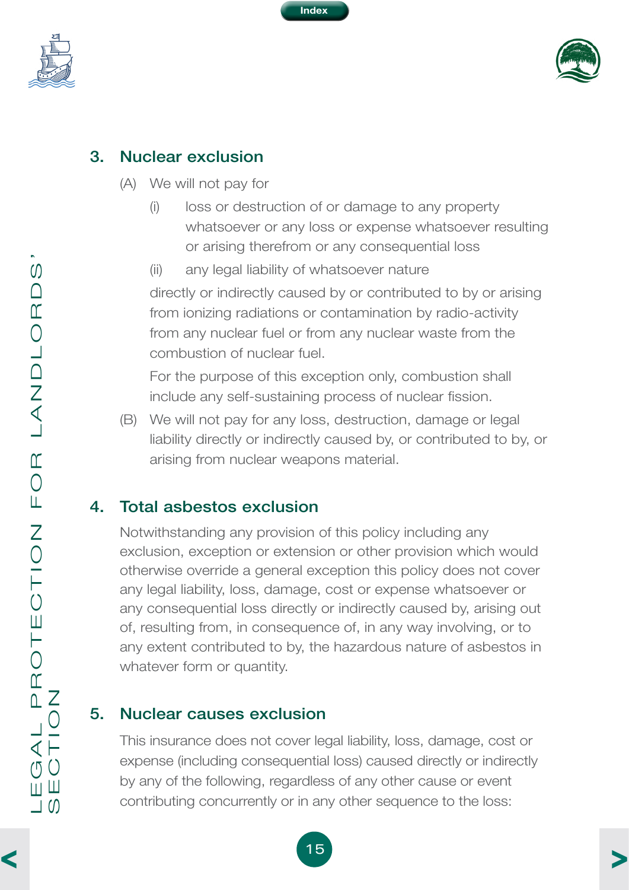

<span id="page-17-0"></span>



#### 3. Nuclear exclusion

- (A) We will not pay for
	- (i) loss or destruction of or damage to any property whatsoever or any loss or expense whatsoever resulting or arising therefrom or any consequential loss
	- (ii) any legal liability of whatsoever nature directly or indirectly caused by or contributed to by or arising from ionizing radiations or contamination by radio-activity from any nuclear fuel or from any nuclear waste from the combustion of nuclear fuel.

For the purpose of this exception only, combustion shall include any self-sustaining process of nuclear fission.

(B) We will not pay for any loss, destruction, damage or legal liability directly or indirectly caused by, or contributed to by, or arising from nuclear weapons material.

# 4. Total asbestos exclusion

Notwithstanding any provision of this policy including any exclusion, exception or extension or other provision which would otherwise override a general exception this policy does not cover any legal liability, loss, damage, cost or expense whatsoever or any consequential loss directly or indirectly caused by, arising out of, resulting from, in consequence of, in any way involving, or to any extent contributed to by, the hazardous nature of asbestos in whatever form or quantity.

#### 5. Nuclear causes exclusion

This insurance does not cover legal liability, loss, damage, cost or expense (including consequential loss) caused directly or indirectly by any of the following, regardless of any other cause or event contributing concurrently or in any other sequence to the loss: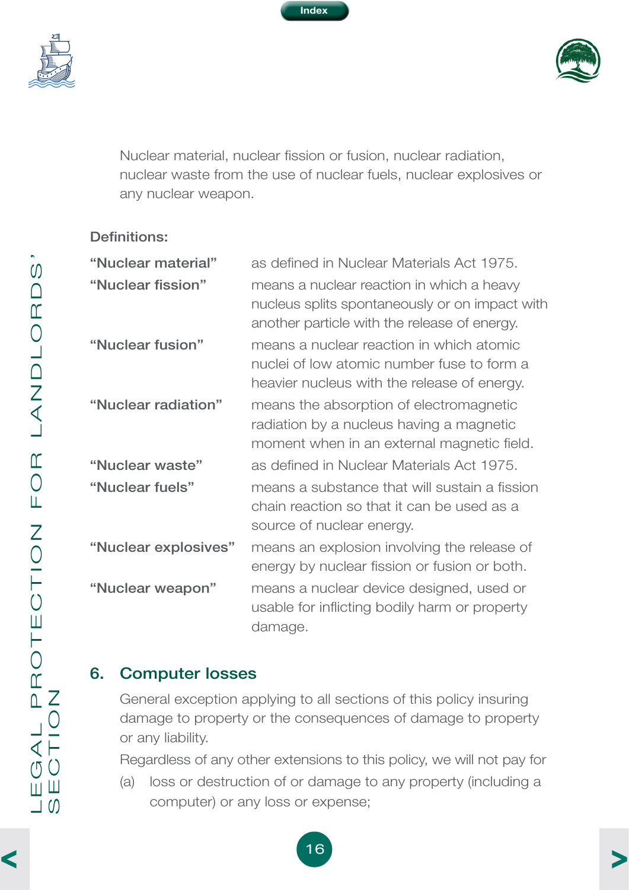

<span id="page-18-0"></span>



Nuclear material, nuclear fission or fusion, nuclear radiation, nuclear waste from the use of nuclear fuels, nuclear explosives or any nuclear weapon.

#### Definitions:

| "Nuclear material"<br>"Nuclear fission" | as defined in Nuclear Materials Act 1975.<br>means a nuclear reaction in which a heavy<br>nucleus splits spontaneously or on impact with                                              |
|-----------------------------------------|---------------------------------------------------------------------------------------------------------------------------------------------------------------------------------------|
| "Nuclear fusion"                        | another particle with the release of energy.<br>means a nuclear reaction in which atomic<br>nuclei of low atomic number fuse to form a<br>heavier nucleus with the release of energy. |
| "Nuclear radiation"                     | means the absorption of electromagnetic<br>radiation by a nucleus having a magnetic<br>moment when in an external magnetic field.                                                     |
| "Nuclear waste"                         | as defined in Nuclear Materials Act 1975.                                                                                                                                             |
| "Nuclear fuels"                         | means a substance that will sustain a fission<br>chain reaction so that it can be used as a<br>source of nuclear energy.                                                              |
| "Nuclear explosives"                    | means an explosion involving the release of<br>energy by nuclear fission or fusion or both.                                                                                           |
| "Nuclear weapon"                        | means a nuclear device designed, used or<br>usable for inflicting bodily harm or property<br>damage.                                                                                  |

#### 6. Computer losses

General exception applying to all sections of this policy insuring damage to property or the consequences of damage to property or any liability.

Regardless of any other extensions to this policy, we will not pay for

(a) loss or destruction of or damage to any property (including a computer) or any loss or expense;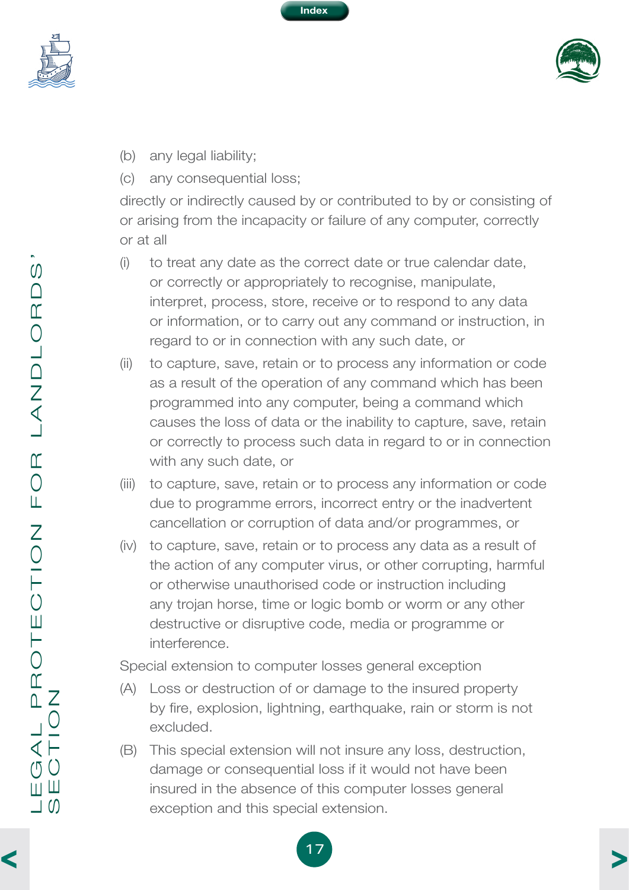

<span id="page-19-0"></span>



- (b) any legal liability;
- (c) any consequential loss;

directly or indirectly caused by or contributed to by or consisting of or arising from the incapacity or failure of any computer, correctly or at all

- (i) to treat any date as the correct date or true calendar date, or correctly or appropriately to recognise, manipulate, interpret, process, store, receive or to respond to any data or information, or to carry out any command or instruction, in regard to or in connection with any such date, or
- (ii) to capture, save, retain or to process any information or code as a result of the operation of any command which has been programmed into any computer, being a command which causes the loss of data or the inability to capture, save, retain or correctly to process such data in regard to or in connection with any such date, or
- (iii) to capture, save, retain or to process any information or code due to programme errors, incorrect entry or the inadvertent cancellation or corruption of data and/or programmes, or
- (iv) to capture, save, retain or to process any data as a result of the action of any computer virus, or other corrupting, harmful or otherwise unauthorised code or instruction including any trojan horse, time or logic bomb or worm or any other destructive or disruptive code, media or programme or interference.

Special extension to computer losses general exception

- (A) Loss or destruction of or damage to the insured property by fire, explosion, lightning, earthquake, rain or storm is not excluded.
- (B) This special extension will not insure any loss, destruction, damage or consequential loss if it would not have been insured in the absence of this computer losses general exception and this special extension.

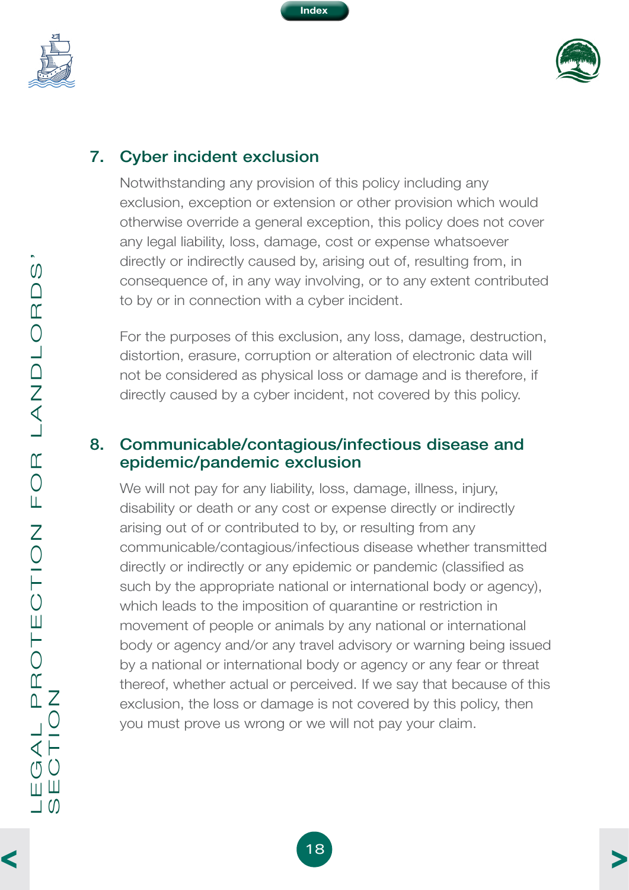<span id="page-20-0"></span>



# 7. Cyber incident exclusion

Notwithstanding any provision of this policy including any exclusion, exception or extension or other provision which would otherwise override a general exception, this policy does not cover any legal liability, loss, damage, cost or expense whatsoever directly or indirectly caused by, arising out of, resulting from, in consequence of, in any way involving, or to any extent contributed to by or in connection with a cyber incident.

For the purposes of this exclusion, any loss, damage, destruction, distortion, erasure, corruption or alteration of electronic data will not be considered as physical loss or damage and is therefore, if directly caused by a cyber incident, not covered by this policy.

#### 8. Communicable/contagious/infectious disease and epidemic/pandemic exclusion

We will not pay for any liability, loss, damage, illness, injury, disability or death or any cost or expense directly or indirectly arising out of or contributed to by, or resulting from any communicable/contagious/infectious disease whether transmitted directly or indirectly or any epidemic or pandemic (classified as such by the appropriate national or international body or agency), which leads to the imposition of quarantine or restriction in movement of people or animals by any national or international body or agency and/or any travel advisory or warning being issued by a national or international body or agency or any fear or threat thereof, whether actual or perceived. If we say that because of this exclusion, the loss or damage is not covered by this policy, then you must prove us wrong or we will not pay your claim.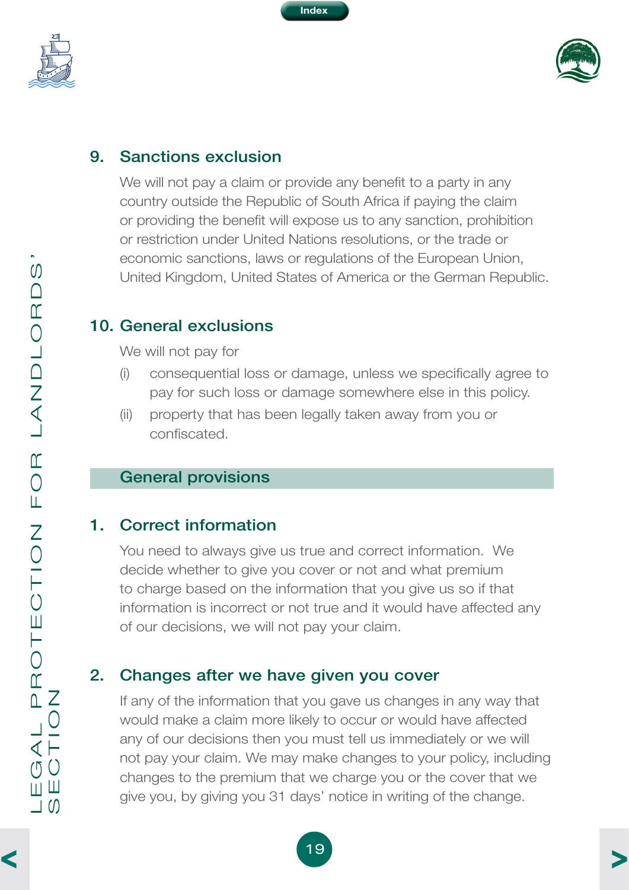<span id="page-21-0"></span>



#### 9. Sanctions exclusion

We will not pay a claim or provide any benefit to a party in any country outside the Republic of South Africa if paying the claim or providing the benefit will expose us to any sanction, prohibition or restriction under United Nations resolutions, or the trade or economic sanctions, laws or regulations of the European Union, United Kingdom, United States of America or the German Republic.

#### 10. General exclusions

We will not pay for

- (i) consequential loss or damage, unless we specifically agree to pay for such loss or damage somewhere else in this policy.
- (ii) property that has been legally taken away from you or confiscated.

#### General provisions

#### 1. Correct information

You need to always give us true and correct information. We decide whether to give you cover or not and what premium to charge based on the information that you give us so if that information is incorrect or not true and it would have affected any of our decisions, we will not pay your claim.

#### 2. Changes after we have given you cover

If any of the information that you gave us changes in any way that would make a claim more likely to occur or would have affected any of our decisions then you must tell us immediately or we will not pay your claim. We may make changes to your policy, including changes to the premium that we charge you or the cover that we give you, by giving you 31 days' notice in writing of the change.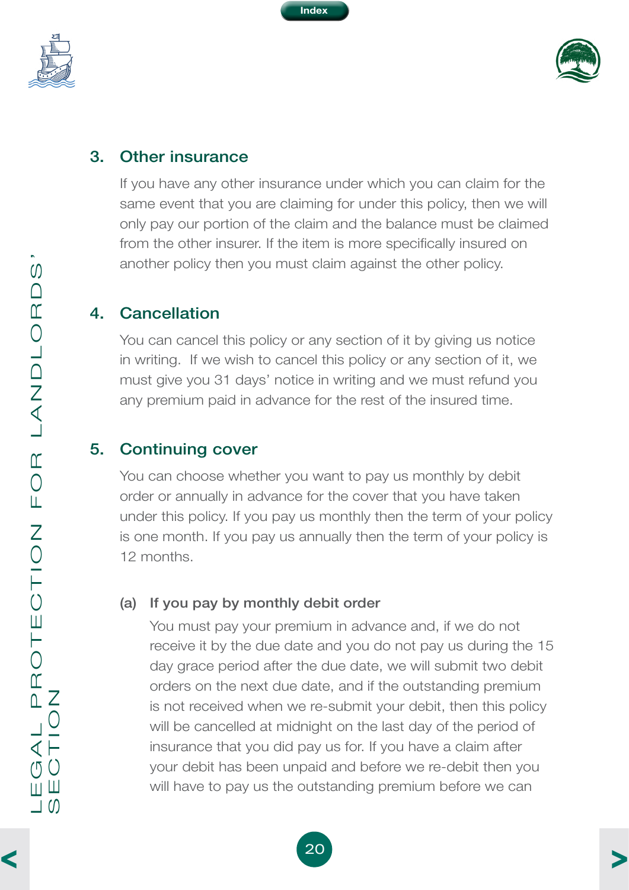

<span id="page-22-0"></span>



#### 3. Other insurance

If you have any other insurance under which you can claim for the same event that you are claiming for under this policy, then we will only pay our portion of the claim and the balance must be claimed from the other insurer. If the item is more specifically insured on another policy then you must claim against the other policy.

#### 4. Cancellation

You can cancel this policy or any section of it by giving us notice in writing. If we wish to cancel this policy or any section of it, we must give you 31 days' notice in writing and we must refund you any premium paid in advance for the rest of the insured time.

#### 5. Continuing cover

You can choose whether you want to pay us monthly by debit order or annually in advance for the cover that you have taken under this policy. If you pay us monthly then the term of your policy is one month. If you pay us annually then the term of your policy is 12 months.

#### (a) If you pay by monthly debit order

You must pay your premium in advance and, if we do not receive it by the due date and you do not pay us during the 15 day grace period after the due date, we will submit two debit orders on the next due date, and if the outstanding premium is not received when we re-submit your debit, then this policy will be cancelled at midnight on the last day of the period of insurance that you did pay us for. If you have a claim after your debit has been unpaid and before we re-debit then you will have to pay us the outstanding premium before we can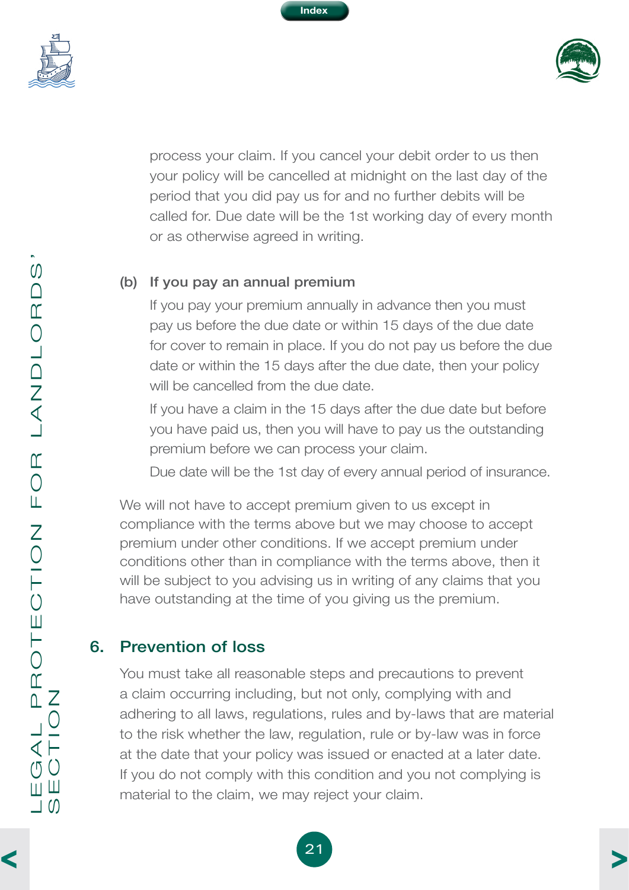

<span id="page-23-0"></span>



process your claim. If you cancel your debit order to us then your policy will be cancelled at midnight on the last day of the period that you did pay us for and no further debits will be called for. Due date will be the 1st working day of every month or as otherwise agreed in writing.

#### (b) If you pay an annual premium

If you pay your premium annually in advance then you must pay us before the due date or within 15 days of the due date for cover to remain in place. If you do not pay us before the due date or within the 15 days after the due date, then your policy will be cancelled from the due date.

If you have a claim in the 15 days after the due date but before you have paid us, then you will have to pay us the outstanding premium before we can process your claim.

Due date will be the 1st day of every annual period of insurance.

We will not have to accept premium given to us except in compliance with the terms above but we may choose to accept premium under other conditions. If we accept premium under conditions other than in compliance with the terms above, then it will be subject to you advising us in writing of any claims that you have outstanding at the time of you giving us the premium.

# 6. Prevention of loss

You must take all reasonable steps and precautions to prevent a claim occurring including, but not only, complying with and adhering to all laws, regulations, rules and by-laws that are material to the risk whether the law, regulation, rule or by-law was in force at the date that your policy was issued or enacted at a later date. If you do not comply with this condition and you not complying is material to the claim, we may reject your claim.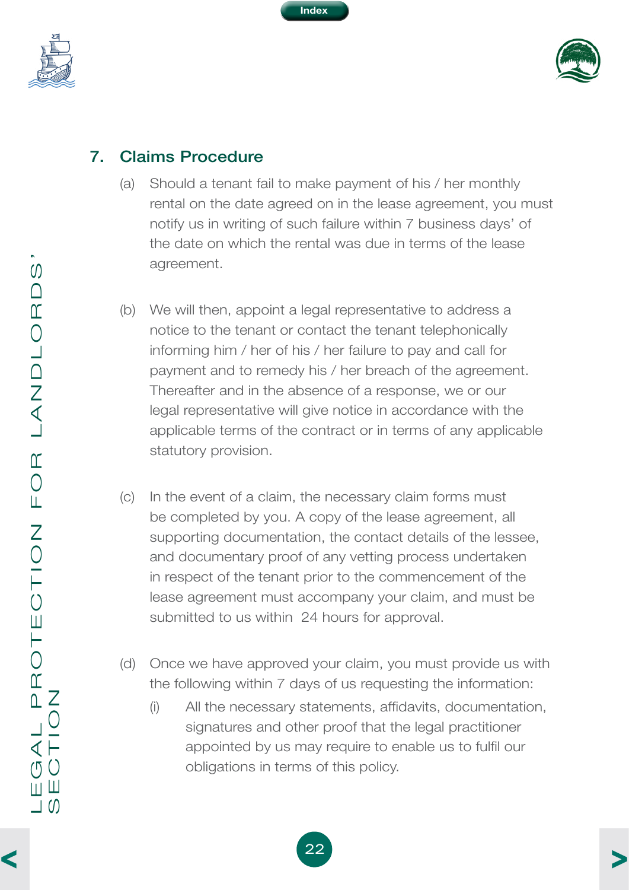

<span id="page-24-0"></span>



# 7. Claims Procedure

- (a) Should a tenant fail to make payment of his / her monthly rental on the date agreed on in the lease agreement, you must notify us in writing of such failure within 7 business days' of the date on which the rental was due in terms of the lease agreement.
- (b) We will then, appoint a legal representative to address a notice to the tenant or contact the tenant telephonically informing him / her of his / her failure to pay and call for payment and to remedy his / her breach of the agreement. Thereafter and in the absence of a response, we or our legal representative will give notice in accordance with the applicable terms of the contract or in terms of any applicable statutory provision.
- (c) In the event of a claim, the necessary claim forms must be completed by you. A copy of the lease agreement, all supporting documentation, the contact details of the lessee, and documentary proof of any vetting process undertaken in respect of the tenant prior to the commencement of the lease agreement must accompany your claim, and must be submitted to us within 24 hours for approval.
- (d) Once we have approved your claim, you must provide us with the following within 7 days of us requesting the information:
	- (i) All the necessary statements, affidavits, documentation, signatures and other proof that the legal practitioner appointed by us may require to enable us to fulfil our obligations in terms of this policy.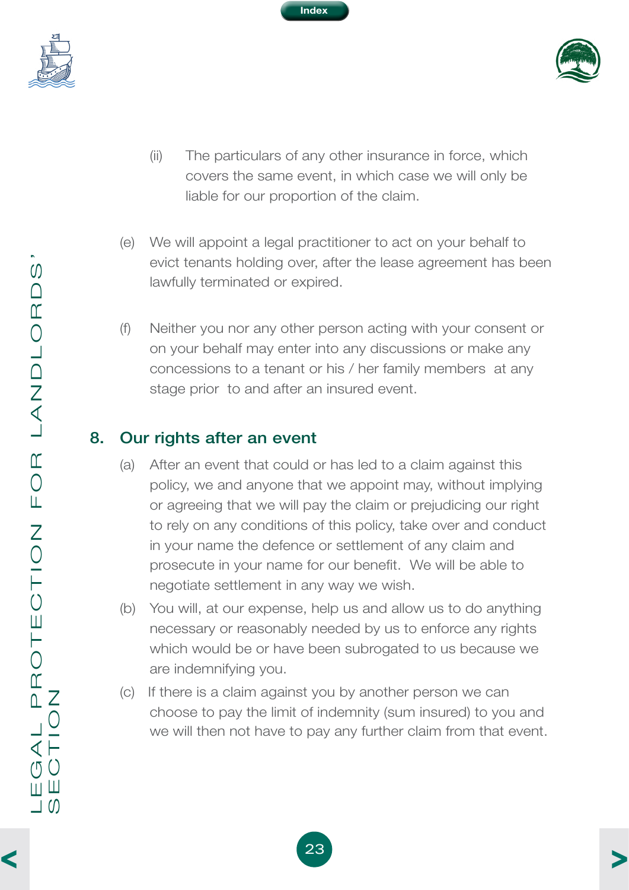

<span id="page-25-0"></span>



- (ii) The particulars of any other insurance in force, which covers the same event, in which case we will only be liable for our proportion of the claim.
- (e) We will appoint a legal practitioner to act on your behalf to evict tenants holding over, after the lease agreement has been lawfully terminated or expired.
- (f) Neither you nor any other person acting with your consent or on your behalf may enter into any discussions or make any concessions to a tenant or his / her family members at any stage prior to and after an insured event.

# 8. Our rights after an event

- (a) After an event that could or has led to a claim against this policy, we and anyone that we appoint may, without implying or agreeing that we will pay the claim or prejudicing our right to rely on any conditions of this policy, take over and conduct in your name the defence or settlement of any claim and prosecute in your name for our benefit. We will be able to negotiate settlement in any way we wish.
- (b) You will, at our expense, help us and allow us to do anything necessary or reasonably needed by us to enforce any rights which would be or have been subrogated to us because we are indemnifying you.
- (c) If there is a claim against you by another person we can choose to pay the limit of indemnity (sum insured) to you and we will then not have to pay any further claim from that event.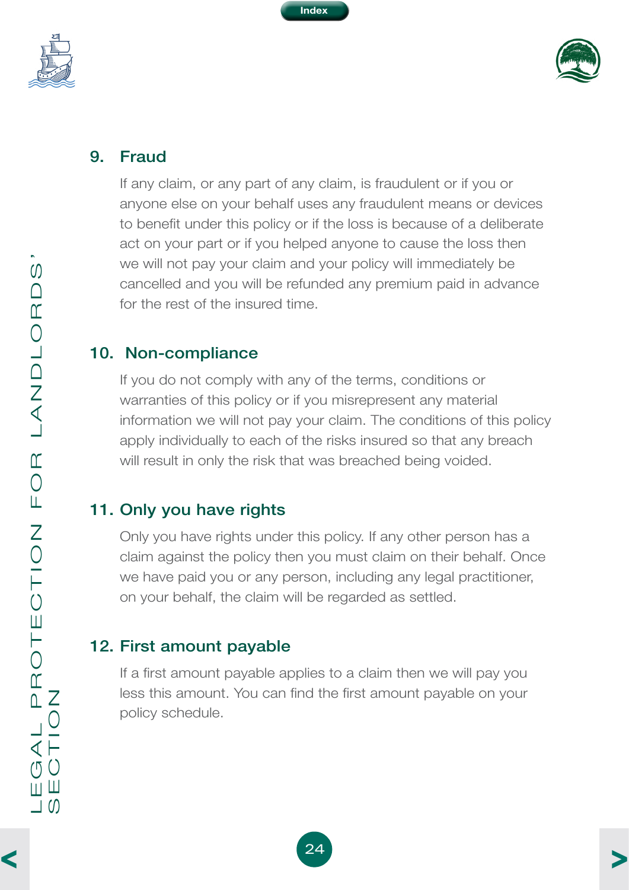

<span id="page-26-0"></span>



#### 9. Fraud

If any claim, or any part of any claim, is fraudulent or if you or anyone else on your behalf uses any fraudulent means or devices to benefit under this policy or if the loss is because of a deliberate act on your part or if you helped anyone to cause the loss then we will not pay your claim and your policy will immediately be cancelled and you will be refunded any premium paid in advance for the rest of the insured time.

#### 10. Non-compliance

If you do not comply with any of the terms, conditions or warranties of this policy or if you misrepresent any material information we will not pay your claim. The conditions of this policy apply individually to each of the risks insured so that any breach will result in only the risk that was breached being voided.

# 11. Only you have rights

Only you have rights under this policy. If any other person has a claim against the policy then you must claim on their behalf. Once we have paid you or any person, including any legal practitioner, on your behalf, the claim will be regarded as settled.

# 12. First amount payable

If a first amount payable applies to a claim then we will pay you less this amount. You can find the first amount payable on your policy schedule.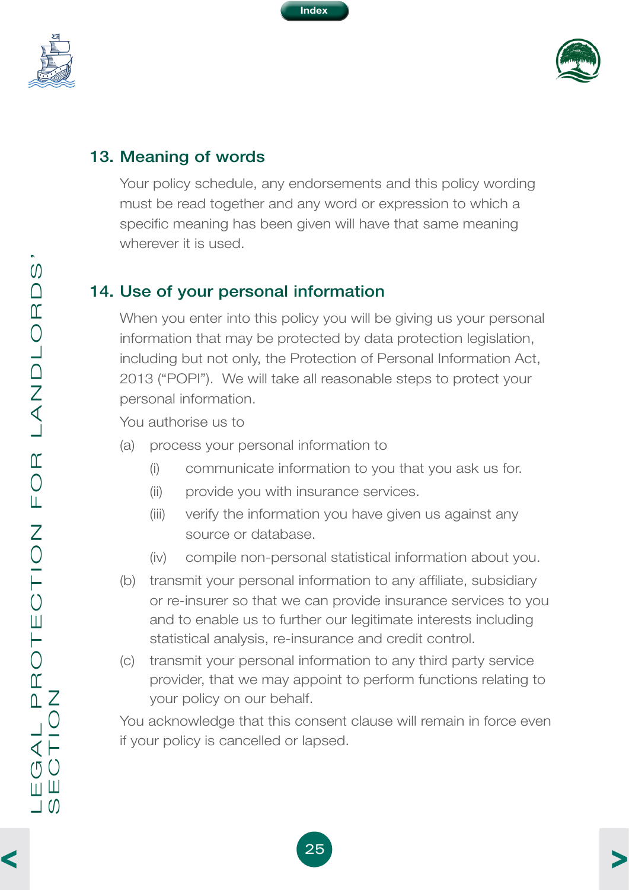

<span id="page-27-0"></span>



#### 13. Meaning of words

Your policy schedule, any endorsements and this policy wording must be read together and any word or expression to which a specific meaning has been given will have that same meaning wherever it is used.

# 14. Use of your personal information

When you enter into this policy you will be giving us your personal information that may be protected by data protection legislation, including but not only, the Protection of Personal Information Act, 2013 ("POPI"). We will take all reasonable steps to protect your personal information.

You authorise us to

- (a) process your personal information to
	- (i) communicate information to you that you ask us for.
	- (ii) provide you with insurance services.
	- (iii) verify the information you have given us against any source or database.
	- (iv) compile non-personal statistical information about you.
- (b) transmit your personal information to any affiliate, subsidiary or re-insurer so that we can provide insurance services to you and to enable us to further our legitimate interests including statistical analysis, re-insurance and credit control.
- (c) transmit your personal information to any third party service provider, that we may appoint to perform functions relating to your policy on our behalf.

You acknowledge that this consent clause will remain in force even if your policy is cancelled or lapsed.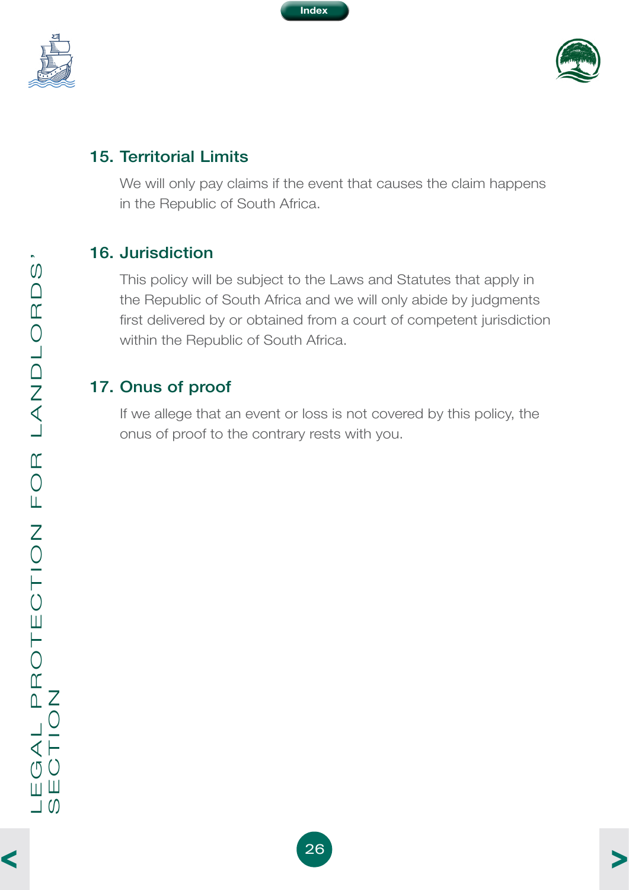

<span id="page-28-0"></span>



#### 15. Territorial Limits

We will only pay claims if the event that causes the claim happens in the Republic of South Africa.

#### 16. Jurisdiction

This policy will be subject to the Laws and Statutes that apply in the Republic of South Africa and we will only abide by judgments first delivered by or obtained from a court of competent jurisdiction within the Republic of South Africa.

#### 17. Onus of proof

If we allege that an event or loss is not covered by this policy, the onus of proof to the contrary rests with you.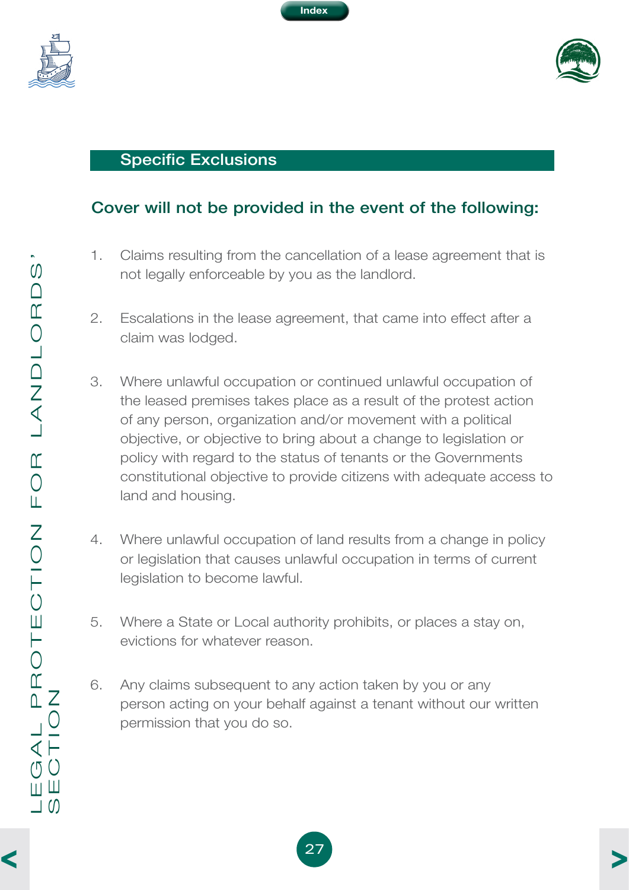<span id="page-29-0"></span>





#### Specific Exclusions

#### Cover will not be provided in the event of the following:

- 1. Claims resulting from the cancellation of a lease agreement that is not legally enforceable by you as the landlord.
- 2. Escalations in the lease agreement, that came into effect after a claim was lodged.
- 3. Where unlawful occupation or continued unlawful occupation of the leased premises takes place as a result of the protest action of any person, organization and/or movement with a political objective, or objective to bring about a change to legislation or policy with regard to the status of tenants or the Governments constitutional objective to provide citizens with adequate access to land and housing.
- 4. Where unlawful occupation of land results from a change in policy or legislation that causes unlawful occupation in terms of current legislation to become lawful.
- 5. Where a State or Local authority prohibits, or places a stay on, evictions for whatever reason.
- 6. Any claims subsequent to any action taken by you or any person acting on your behalf against a tenant without our written permission that you do so.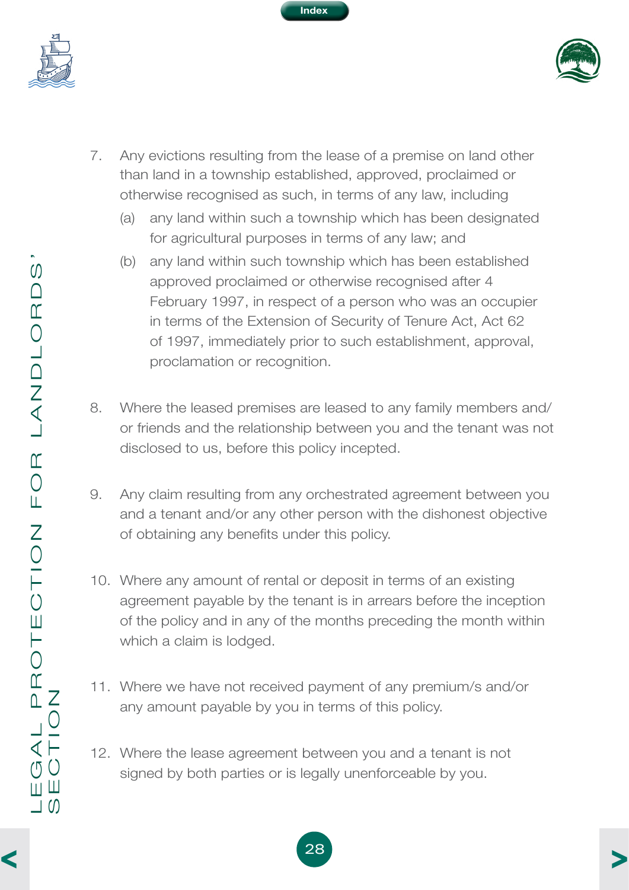<span id="page-30-0"></span>



7. Any evictions resulting from the lease of a premise on land other than land in a township established, approved, proclaimed or otherwise recognised as such, in terms of any law, including

**Index**

- (a) any land within such a township which has been designated for agricultural purposes in terms of any law; and
- (b) any land within such township which has been established approved proclaimed or otherwise recognised after 4 February 1997, in respect of a person who was an occupier in terms of the Extension of Security of Tenure Act, Act 62 of 1997, immediately prior to such establishment, approval, proclamation or recognition.
- 8. Where the leased premises are leased to any family members and/ or friends and the relationship between you and the tenant was not disclosed to us, before this policy incepted.
- 9. Any claim resulting from any orchestrated agreement between you and a tenant and/or any other person with the dishonest objective of obtaining any benefits under this policy.
- 10. Where any amount of rental or deposit in terms of an existing agreement payable by the tenant is in arrears before the inception of the policy and in any of the months preceding the month within which a claim is lodged.
- 11. Where we have not received payment of any premium/s and/or any amount payable by you in terms of this policy.
- 12. Where the lease agreement between you and a tenant is not signed by both parties or is legally unenforceable by you.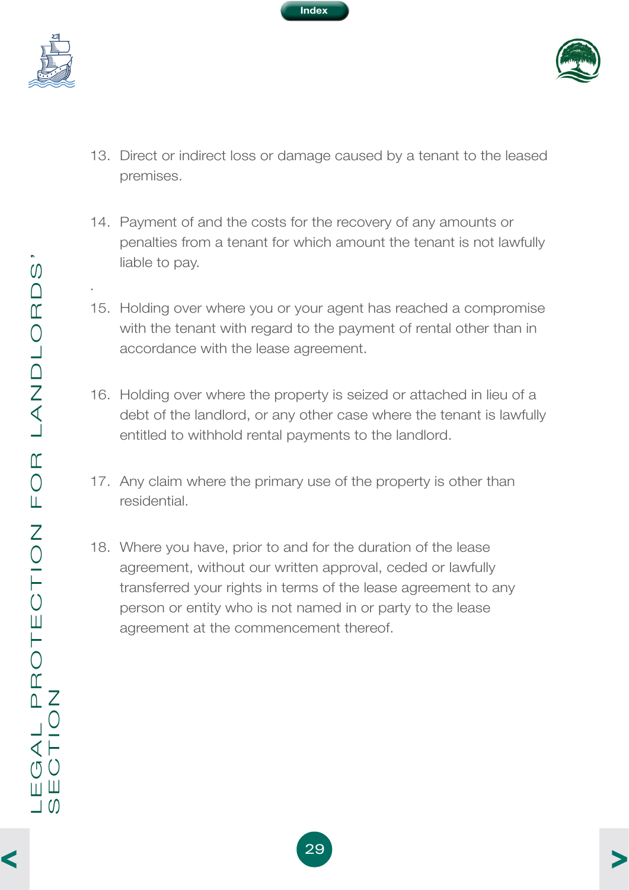<span id="page-31-0"></span>

.





- 13. Direct or indirect loss or damage caused by a tenant to the leased premises.
- 14. Payment of and the costs for the recovery of any amounts or penalties from a tenant for which amount the tenant is not lawfully liable to pay.
- 15. Holding over where you or your agent has reached a compromise with the tenant with regard to the payment of rental other than in accordance with the lease agreement.
- 16. Holding over where the property is seized or attached in lieu of a debt of the landlord, or any other case where the tenant is lawfully entitled to withhold rental payments to the landlord.
- 17. Any claim where the primary use of the property is other than residential.
- 18. Where you have, prior to and for the duration of the lease agreement, without our written approval, ceded or lawfully transferred your rights in terms of the lease agreement to any person or entity who is not named in or party to the lease agreement at the commencement thereof.

 $\blacktriangleleft$ 

[>](#page-32-0)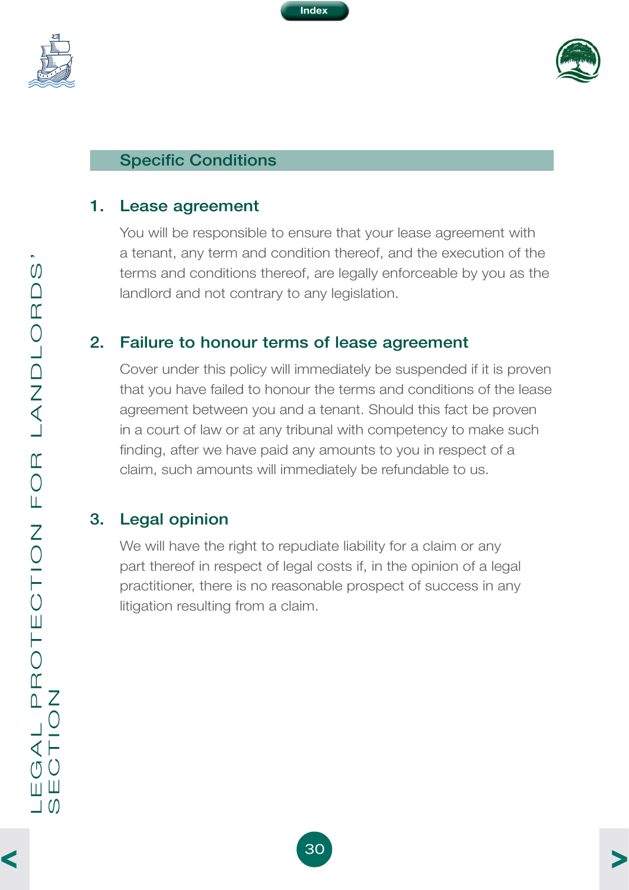<span id="page-32-0"></span>





#### Specific Conditions

#### 1. Lease agreement

You will be responsible to ensure that your lease agreement with a tenant, any term and condition thereof, and the execution of the terms and conditions thereof, are legally enforceable by you as the landlord and not contrary to any legislation.

#### 2. Failure to honour terms of lease agreement

Cover under this policy will immediately be suspended if it is proven that you have failed to honour the terms and conditions of the lease agreement between you and a tenant. Should this fact be proven in a court of law or at any tribunal with competency to make such finding, after we have paid any amounts to you in respect of a claim, such amounts will immediately be refundable to us.

#### 3. Legal opinion

We will have the right to repudiate liability for a claim or any part thereof in respect of legal costs if, in the opinion of a legal practitioner, there is no reasonable prospect of success in any litigation resulting from a claim.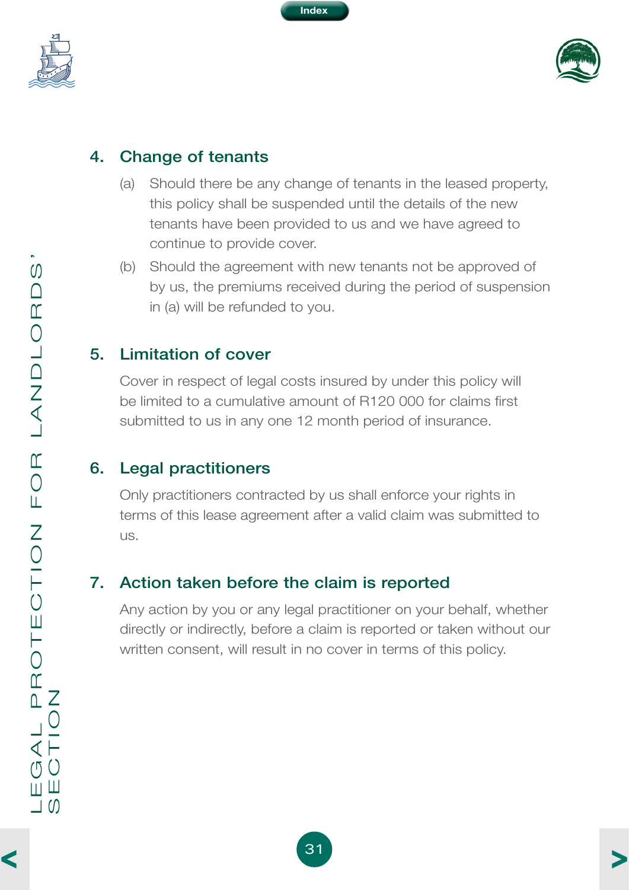<span id="page-33-0"></span>



#### 4. Change of tenants

- (a) Should there be any change of tenants in the leased property, this policy shall be suspended until the details of the new tenants have been provided to us and we have agreed to continue to provide cover.
- (b) Should the agreement with new tenants not be approved of by us, the premiums received during the period of suspension in (a) will be refunded to you.

#### 5. Limitation of cover

Cover in respect of legal costs insured by under this policy will be limited to a cumulative amount of R120 000 for claims first submitted to us in any one 12 month period of insurance.

# 6. Legal practitioners

Only practitioners contracted by us shall enforce your rights in terms of this lease agreement after a valid claim was submitted to us.

# 7. Action taken before the claim is reported

Any action by you or any legal practitioner on your behalf, whether directly or indirectly, before a claim is reported or taken without our written consent, will result in no cover in terms of this policy.